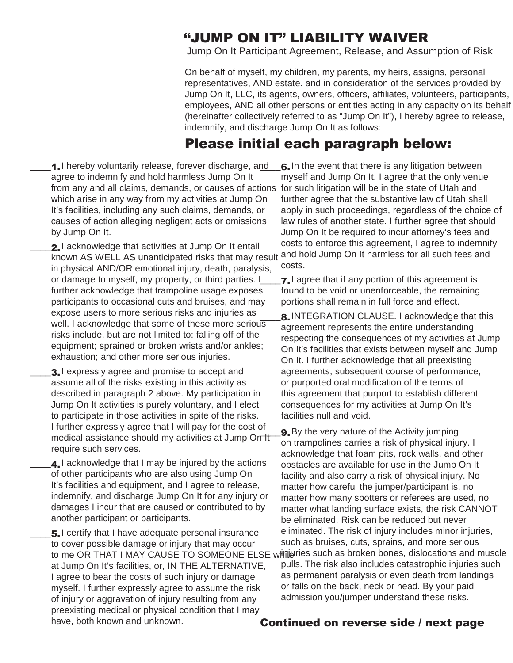## ["JUMP ON IT" LIABILITY WAIVER](http://www.liabilitywaiver.org/jump-liability-waiver/)

Jump On It Participant Agreement, Release, and Assumption of Risk

On behalf of myself, my children, my parents, my heirs, assigns, personal representatives, AND estate. and in consideration of the services provided by Jump On It, LLC, its agents, owners, officers, affiliates, volunteers, participants, employees, AND all other persons or entities acting in any capacity on its behalf (hereinafter collectively referred to as "Jump On It"), I hereby agree to release, indemnify, and discharge Jump On It as follows:

## Please initial each paragraph below:

1. I hereby voluntarily release, forever discharge, and agree to indemnify and hold harmless Jump On It from any and all claims, demands, or causes of actions for such litigation will be in the state of Utah and which arise in any way from my activities at Jump On It's facilities, including any such claims, demands, or causes of action alleging negligent acts or omissions by Jump On It.

2. I acknowledge that activities at Jump On It entail known AS WELL AS unanticipated risks that may result in physical AND/OR emotional injury, death, paralysis, or damage to myself, my property, or third parties. I further acknowledge that trampoline usage exposes participants to occasional cuts and bruises, and may expose users to more serious risks and injuries as well. I acknowledge that some of these more serious risks include, but are not limited to: falling off of the equipment; sprained or broken wrists and/or ankles; exhaustion; and other more serious injuries.

3. I expressly agree and promise to accept and assume all of the risks existing in this activity as described in paragraph 2 above. My participation in Jump On It activities is purely voluntary, and I elect to participate in those activities in spite of the risks. I further expressly agree that I will pay for the cost of medical assistance should my activities at Jump On It require such services.

4. I acknowledge that I may be injured by the actions of other participants who are also using Jump On It's facilities and equipment, and I agree to release, indemnify, and discharge Jump On It for any injury or damages I incur that are caused or contributed to by another participant or participants.

5. I certify that I have adequate personal insurance to cover possible damage or injury that may occur to me OR THAT I MAY CAUSE TO SOMEONE ELSE v at Jump On It's facilities, or, IN THE ALTERNATIVE, I agree to bear the costs of such injury or damage myself. I further expressly agree to assume the risk of injury or aggravation of injury resulting from any preexisting medical or physical condition that I may have, both known and unknown.

6. In the event that there is any litigation between myself and Jump On It, I agree that the only venue further agree that the substantive law of Utah shall apply in such proceedings, regardless of the choice of law rules of another state. I further agree that should Jump On It be required to incur attorney's fees and costs to enforce this agreement, I agree to indemnify and hold Jump On It harmless for all such fees and costs.

**7.** I agree that if any portion of this agreement is found to be void or unenforceable, the remaining portions shall remain in full force and effect.

8. INTEGRATION CLAUSE. I acknowledge that this agreement represents the entire understanding respecting the consequences of my activities at Jump On It's facilities that exists between myself and Jump On It. I further acknowledge that all preexisting agreements, subsequent course of performance, or purported oral modification of the terms of this agreement that purport to establish different consequences for my activities at Jump On It's facilities null and void.

**9.** By the very nature of the Activity jumping on trampolines carries a risk of physical injury. I acknowledge that foam pits, rock walls, and other obstacles are available for use in the Jump On It facility and also carry a risk of physical injury. No matter how careful the jumper/participant is, no matter how many spotters or referees are used, no matter what landing surface exists, the risk CANNOT be eliminated. Risk can be reduced but never eliminated. The risk of injury includes minor injuries, such as bruises, cuts, sprains, and more serious injuries such as broken bones, dislocations and muscle pulls. The risk also includes catastrophic injuries such as permanent paralysis or even death from landings or falls on the back, neck or head. By your paid admission you/jumper understand these risks.

## Continued on reverse side / next page